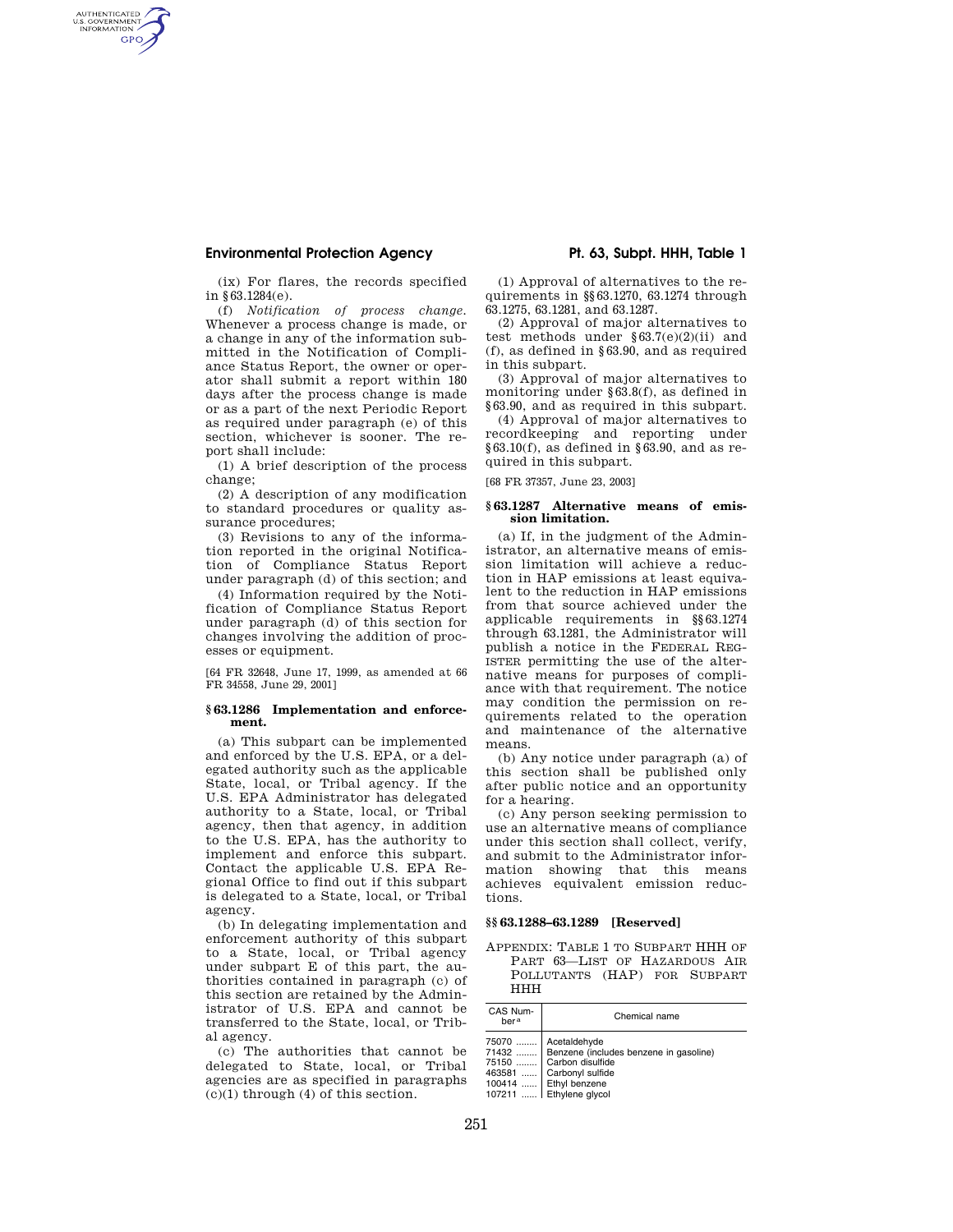## **Environmental Protection Agency Pt. 63, Subpt. HHH, Table 1**

AUTHENTICATED<br>U.S. GOVERNMENT<br>INFORMATION **GPO** 

> (ix) For flares, the records specified in §63.1284(e).

(f) *Notification of process change.*  Whenever a process change is made, or a change in any of the information submitted in the Notification of Compliance Status Report, the owner or operator shall submit a report within 180 days after the process change is made or as a part of the next Periodic Report as required under paragraph (e) of this section, whichever is sooner. The report shall include:

(1) A brief description of the process change;

(2) A description of any modification to standard procedures or quality assurance procedures;

(3) Revisions to any of the information reported in the original Notification of Compliance Status Report under paragraph (d) of this section; and

(4) Information required by the Notification of Compliance Status Report under paragraph (d) of this section for changes involving the addition of processes or equipment.

[64 FR 32648, June 17, 1999, as amended at 66 FR 34558, June 29, 2001]

#### **§ 63.1286 Implementation and enforcement.**

(a) This subpart can be implemented and enforced by the U.S. EPA, or a delegated authority such as the applicable State, local, or Tribal agency. If the U.S. EPA Administrator has delegated authority to a State, local, or Tribal agency, then that agency, in addition to the U.S. EPA, has the authority to implement and enforce this subpart. Contact the applicable U.S. EPA Regional Office to find out if this subpart is delegated to a State, local, or Tribal agency.

(b) In delegating implementation and enforcement authority of this subpart to a State, local, or Tribal agency under subpart E of this part, the authorities contained in paragraph (c) of this section are retained by the Administrator of U.S. EPA and cannot be transferred to the State, local, or Tribal agency.

(c) The authorities that cannot be delegated to State, local, or Tribal agencies are as specified in paragraphs  $(c)(1)$  through  $(4)$  of this section.

(1) Approval of alternatives to the requirements in §§63.1270, 63.1274 through 63.1275, 63.1281, and 63.1287.

(2) Approval of major alternatives to test methods under  $§63.7(e)(2)(ii)$  and (f), as defined in §63.90, and as required in this subpart.

(3) Approval of major alternatives to monitoring under §63.8(f), as defined in §63.90, and as required in this subpart.

(4) Approval of major alternatives to recordkeeping and reporting under  $§63.10(f)$ , as defined in §63.90, and as required in this subpart.

[68 FR 37357, June 23, 2003]

#### **§ 63.1287 Alternative means of emission limitation.**

(a) If, in the judgment of the Administrator, an alternative means of emission limitation will achieve a reduction in HAP emissions at least equivalent to the reduction in HAP emissions from that source achieved under the applicable requirements in §§63.1274 through 63.1281, the Administrator will publish a notice in the FEDERAL REG-ISTER permitting the use of the alternative means for purposes of compliance with that requirement. The notice may condition the permission on requirements related to the operation and maintenance of the alternative means.

(b) Any notice under paragraph (a) of this section shall be published only after public notice and an opportunity for a hearing.

(c) Any person seeking permission to use an alternative means of compliance under this section shall collect, verify, and submit to the Administrator information showing that this means achieves equivalent emission reductions.

### **§§ 63.1288–63.1289 [Reserved]**

APPENDIX: TABLE 1 TO SUBPART HHH OF PART 63—LIST OF HAZARDOUS AIR POLLUTANTS (HAP) FOR SUBPART HHH

| CAS Num-<br>hera | Chemical name                                                                                                                                                                         |  |  |
|------------------|---------------------------------------------------------------------------------------------------------------------------------------------------------------------------------------|--|--|
|                  | 75070    Acetaldehyde<br>71432    Benzene (includes benzene in gasoline)<br>75150    Carbon disulfide<br>463581  Carbonyl sulfide<br>100414  Ethyl benzene<br>107211  Ethylene glycol |  |  |